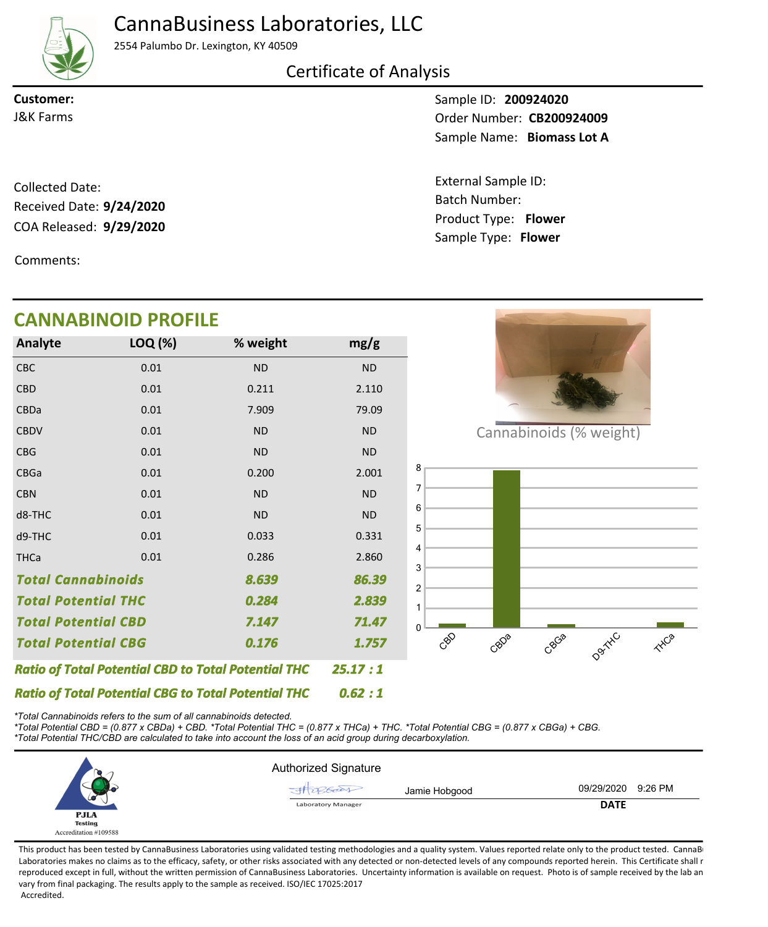## CannaBusiness Laboratories, LLC



2554 Palumbo Dr. Lexington, KY 40509

### Certificate of Analysis

**Customer:**

COA Released: 9/29/2020 Collected Date: Received Date: **9/24/2020**

Comments:

Sample ID: **200924020** Sample Name: Biomass Lot A **J&K Farms CB200924009** 

> Product Type: **Flower 9/29/2020** Batch Number: External Sample ID: Sample Type: **Flower**

|                                     | <b>CANNABINOID PROFILE</b>                                 |           |           |
|-------------------------------------|------------------------------------------------------------|-----------|-----------|
| Analyte                             | LOQ (%)                                                    | % weight  | mg/g      |
| <b>CBC</b>                          | 0.01                                                       | <b>ND</b> | <b>ND</b> |
| <b>CBD</b>                          | 0.01                                                       | 0.211     | 2.110     |
| <b>CBDa</b>                         | 0.01                                                       | 7.909     | 79.09     |
| <b>CBDV</b>                         | 0.01                                                       | <b>ND</b> | <b>ND</b> |
| <b>CBG</b>                          | 0.01                                                       | <b>ND</b> | <b>ND</b> |
| CBGa                                | 0.01                                                       | 0.200     | 2.001     |
| <b>CBN</b>                          | 0.01                                                       | <b>ND</b> | <b>ND</b> |
| d8-THC                              | 0.01                                                       | <b>ND</b> | <b>ND</b> |
| d9-THC                              | 0.01                                                       | 0.033     | 0.331     |
| <b>THCa</b>                         | 0.01                                                       | 0.286     | 2.860     |
| <b>Total Cannabinoids</b>           |                                                            | 8.639     | 86.39     |
| <b>Total Potential THC</b>          |                                                            | 0.284     | 2.839     |
| <b>Total Potential CBD</b><br>7.147 |                                                            | 71.47     |           |
| <b>Total Potential CBG</b>          |                                                            | 0.176     | 1.757     |
|                                     | <b>Ratio of Total Potential CBD to Total Potential THC</b> |           | 25.17:1   |
|                                     | <b>Ratio of Total Potential CBG to Total Potential THC</b> |           | 0.62:1    |

*\*Total Cannabinoids refers to the sum of all cannabinoids detected.*

*\*Total Potential CBD = (0.877 x CBDa) + CBD. \*Total Potential THC = (0.877 x THCa) + THC. \*Total Potential CBG = (0.877 x CBGa) + CBG. \*Total Potential THC/CBD are calculated to take into account the loss of an acid group during decarboxylation.*



This product has been tested by CannaBusiness Laboratories using validated testing methodologies and a quality system. Values reported relate only to the product tested. CannaBi Laboratories makes no claims as to the efficacy, safety, or other risks associated with any detected or non-detected levels of any compounds reported herein. This Certificate shall r reproduced except in full, without the written permission of CannaBusiness Laboratories. Uncertainty information is available on request. Photo is of sample received by the lab an vary from final packaging. The results apply to the sample as received. ISO/IEC 17025:2017 Accredited.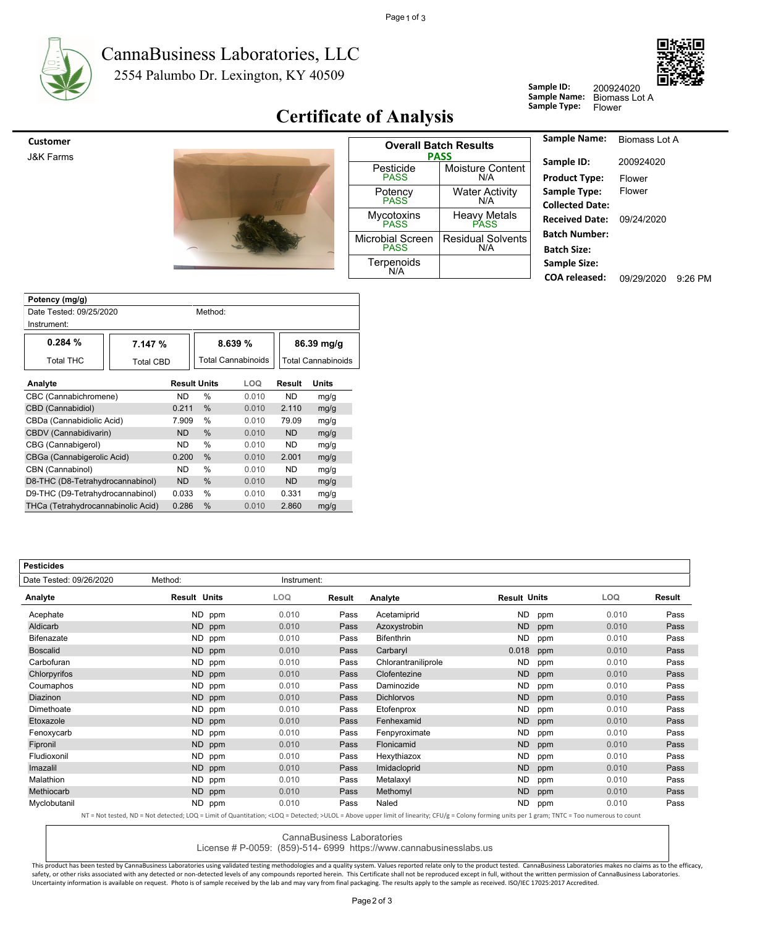

#### 2554 Palumbo Dr. Lexington, KY 40509 CannaBusiness Laboratories, LLC



## **Certificate of Analysis**

| <b>Customer</b> |  |
|-----------------|--|
|                 |  |

J&K Farms



| <b>Overall Batch Results</b><br>PASS |                                 |  |  |  |  |  |
|--------------------------------------|---------------------------------|--|--|--|--|--|
| Pesticide<br><b>PASS</b>             | <b>Moisture Content</b><br>N/A  |  |  |  |  |  |
| Potency<br>PASS                      | Water Activity<br>N/A           |  |  |  |  |  |
| Mycotoxins<br>PASS                   | Heavy Metals                    |  |  |  |  |  |
| Microbial Screen<br>PASS             | <b>Residual Solvents</b><br>N/A |  |  |  |  |  |
| Terpenoids<br>N/A                    |                                 |  |  |  |  |  |

| <b>Sample Name:</b>    | Biomass Lot A |         |
|------------------------|---------------|---------|
| Sample ID:             | 200924020     |         |
| <b>Product Type:</b>   | Flower        |         |
| Sample Type:           | Flower        |         |
| <b>Collected Date:</b> |               |         |
| <b>Received Date:</b>  | 09/24/2020    |         |
| <b>Batch Number:</b>   |               |         |
| <b>Batch Size:</b>     |               |         |
| <b>Sample Size:</b>    |               |         |
| COA released:          | 09/29/2020    | 9:26 PM |

200924020

**Sample ID:**

**Sample Name:**<br> **Sample Type:** 

| Potency (mg/g)                     |                     |           |                    |           |                           |      |  |
|------------------------------------|---------------------|-----------|--------------------|-----------|---------------------------|------|--|
| Date Tested: 09/25/2020            |                     |           | Method:            |           |                           |      |  |
| Instrument:                        |                     |           |                    |           |                           |      |  |
| 0.284%                             | 7.147 %             |           | 8.639%             |           | 86.39 mg/g                |      |  |
| Total THC                          | <b>Total CBD</b>    |           | Total Cannabinoids |           | <b>Total Cannabinoids</b> |      |  |
| Analyte                            | <b>Result Units</b> |           | <b>LOQ</b>         | Result    | Units                     |      |  |
| CBC (Cannabichromene)              |                     | <b>ND</b> | $\frac{0}{0}$      | 0.010     | <b>ND</b>                 | mg/g |  |
| CBD (Cannabidiol)                  |                     |           | $\%$               | 0.010     | 2.110                     | mg/g |  |
| CBDa (Cannabidiolic Acid)          |                     |           | %                  | 0.010     | 79.09                     | mg/g |  |
| CBDV (Cannabidivarin)              |                     |           | %                  | 0.010     | <b>ND</b>                 | mg/g |  |
| CBG (Cannabigerol)                 | <b>ND</b>           | %         | 0.010              | <b>ND</b> | mg/g                      |      |  |
| CBGa (Cannabigerolic Acid)         |                     | 0.200     | %                  | 0.010     | 2.001                     | mg/g |  |
| CBN (Cannabinol)                   | <b>ND</b>           | %         | 0.010              | <b>ND</b> | mg/g                      |      |  |
| D8-THC (D8-Tetrahydrocannabinol)   |                     | <b>ND</b> | $\frac{0}{0}$      | 0.010     | <b>ND</b>                 | mg/g |  |
| D9-THC (D9-Tetrahydrocannabinol)   |                     | 0.033     | %                  | 0.010     | 0.331                     | mg/g |  |
| THCa (Tetrahydrocannabinolic Acid) |                     | 0.286     | %                  | 0.010     | 2.860                     | mg/g |  |

| <b>Pesticides</b>       |                     |             |        |                     |                     |     |       |        |
|-------------------------|---------------------|-------------|--------|---------------------|---------------------|-----|-------|--------|
| Date Tested: 09/26/2020 | Method:             | Instrument: |        |                     |                     |     |       |        |
| Analyte                 | <b>Result Units</b> | <b>LOQ</b>  | Result | Analyte             | <b>Result Units</b> |     | LOQ.  | Result |
| Acephate                | ND.<br>ppm          | 0.010       | Pass   | Acetamiprid         | <b>ND</b>           | ppm | 0.010 | Pass   |
| Aldicarb                | ND<br>ppm           | 0.010       | Pass   | Azoxystrobin        | <b>ND</b>           | ppm | 0.010 | Pass   |
| Bifenazate              | ND.<br>ppm          | 0.010       | Pass   | <b>Bifenthrin</b>   | <b>ND</b>           | ppm | 0.010 | Pass   |
| <b>Boscalid</b>         | <b>ND</b><br>ppm    | 0.010       | Pass   | Carbaryl            | 0.018               | ppm | 0.010 | Pass   |
| Carbofuran              | ND.<br>ppm          | 0.010       | Pass   | Chlorantraniliprole | <b>ND</b>           | ppm | 0.010 | Pass   |
| Chlorpyrifos            | ND<br>ppm           | 0.010       | Pass   | Clofentezine        | <b>ND</b>           | ppm | 0.010 | Pass   |
| Coumaphos               | ND.<br>ppm          | 0.010       | Pass   | Daminozide          | <b>ND</b>           | ppm | 0.010 | Pass   |
| Diazinon                | ND.<br>ppm          | 0.010       | Pass   | <b>Dichlorvos</b>   | <b>ND</b>           | ppm | 0.010 | Pass   |
| Dimethoate              | ND.<br>ppm          | 0.010       | Pass   | Etofenprox          | <b>ND</b>           | ppm | 0.010 | Pass   |
| Etoxazole               | <b>ND</b><br>ppm    | 0.010       | Pass   | Fenhexamid          | <b>ND</b>           | ppm | 0.010 | Pass   |
| Fenoxycarb              | ND.<br>ppm          | 0.010       | Pass   | Fenpyroximate       | <b>ND</b>           | ppm | 0.010 | Pass   |
| Fipronil                | ND<br>ppm           | 0.010       | Pass   | Flonicamid          | <b>ND</b>           | ppm | 0.010 | Pass   |
| Fludioxonil             | ND.<br>ppm          | 0.010       | Pass   | Hexythiazox         | <b>ND</b>           | ppm | 0.010 | Pass   |
| Imazalil                | ND.<br>ppm          | 0.010       | Pass   | Imidacloprid        | <b>ND</b>           | ppm | 0.010 | Pass   |
| Malathion               | ND.<br>ppm          | 0.010       | Pass   | Metalaxyl           | <b>ND</b>           | ppm | 0.010 | Pass   |
| Methiocarb              | ND.<br>ppm          | 0.010       | Pass   | Methomyl            | <b>ND</b>           | ppm | 0.010 | Pass   |
| Myclobutanil            | ND.<br>ppm          | 0.010       | Pass   | Naled               | <b>ND</b>           | ppm | 0.010 | Pass   |

NT = Not tested, ND = Not detected; LOQ = Limit of Quantitation; <LOQ = Detected; >ULOL = Above upper limit of linearity; CFU/g = Colony forming units per 1 gram; TNTC = Too numerous to count

CannaBusiness Laboratories

License # P-0059: (859)-514- 6999 https://www.cannabusinesslabs.us

This product has been tested by CannaBusiness Laboratories using validated testing methodologies and a quality system. Values reported relate only to the product tested. CannaBusiness Laboratories makes no claims as to the safety, or other risks associated with any detected or non-detected levels of any compounds reported herein. This Certificate shall not be reproduced except in full, without the written permission of CannaBusiness Laborato Uncertainty information is available on request. Photo is of sample received by the lab and may vary from final packaging. The results apply to the sample as received. ISO/IEC 17025:2017 Accredited.